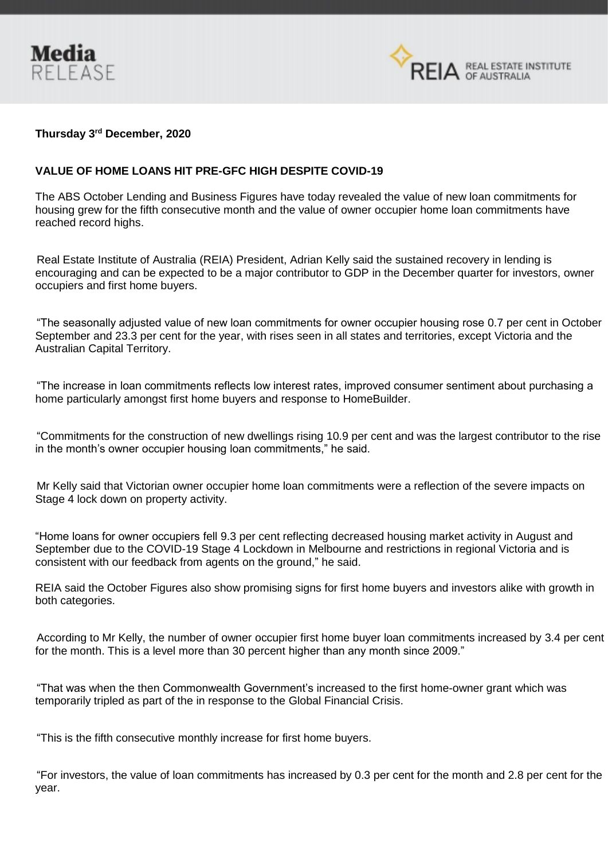



## **Thursday 3rd December, 2020**

## **VALUE OF HOME LOANS HIT PRE-GFC HIGH DESPITE COVID-19**

The ABS October Lending and Business Figures have today revealed the value of new loan commitments for housing grew for the fifth consecutive month and the value of owner occupier home loan commitments have reached record highs.

Real Estate Institute of Australia (REIA) President, Adrian Kelly said the sustained recovery in lending is encouraging and can be expected to be a major contributor to GDP in the December quarter for investors, owner occupiers and first home buyers.

"The seasonally adjusted value of new loan commitments for owner occupier housing rose 0.7 per cent in October September and 23.3 per cent for the year, with rises seen in all states and territories, except Victoria and the Australian Capital Territory.

"The increase in loan commitments reflects low interest rates, improved consumer sentiment about purchasing a home particularly amongst first home buyers and response to HomeBuilder.

"Commitments for the construction of new dwellings rising 10.9 per cent and was the largest contributor to the rise in the month's owner occupier housing loan commitments," he said.

Mr Kelly said that Victorian owner occupier home loan commitments were a reflection of the severe impacts on Stage 4 lock down on property activity.

"Home loans for owner occupiers fell 9.3 per cent reflecting decreased housing market activity in August and September due to the COVID-19 Stage 4 Lockdown in Melbourne and restrictions in regional Victoria and is consistent with our feedback from agents on the ground," he said.

REIA said the October Figures also show promising signs for first home buyers and investors alike with growth in both categories.

According to Mr Kelly, the number of owner occupier first home buyer loan commitments increased by 3.4 per cent for the month. This is a level more than 30 percent higher than any month since 2009."

"That was when the then Commonwealth Government's increased to the first home-owner grant which was temporarily tripled as part of the in response to the Global Financial Crisis.

"This is the fifth consecutive monthly increase for first home buyers.

"For investors, the value of loan commitments has increased by 0.3 per cent for the month and 2.8 per cent for the year.